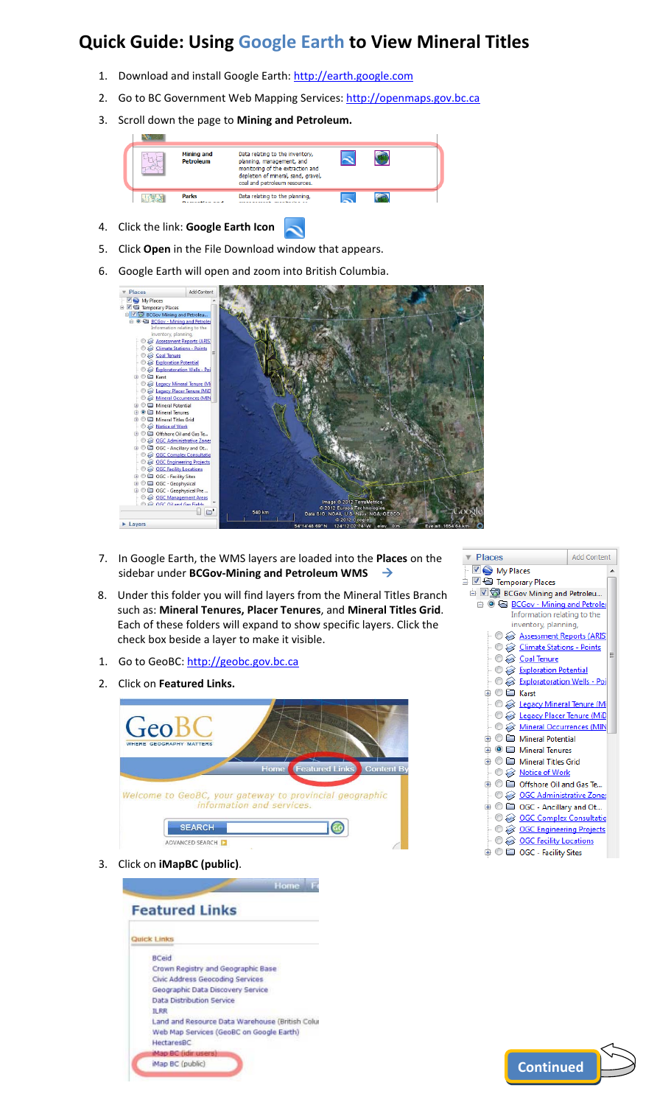## **Quick Guide: Using Google Earth to View Mineral Titles**

- 1. Download and install Google Earth: [http://earth.google.com](http://earth.google.com/)
- 2. Go to BC Government Web Mapping Services: [http://openmaps.gov.bc.ca](http://openmaps.gov.bc.ca/)
- 3. Scroll down the page to **Mining and Petroleum.**



- 4. Click the link: **Google Earth Icon**   $\sim$
- 5. Click **Open** in the File Download window that appears.
- 6. Google Earth will open and zoom into British Columbia.



- 7. In Google Earth, the WMS layers are loaded into the **Places** on the sidebar under **BCGov‐Mining and Petroleum WMS** Æ
- 8. Under this folder you will find layers from the Mineral Titles Branch such as: **Mineral Tenures, Placer Tenures**, and **Mineral Titles Grid**. Each of these folders will expand to show specific layers. Click the check box beside a layer to make it visible.
- 1. Go to GeoBC: [http://geobc.gov.bc.ca](http://geobc.gov.bc.ca/)
- 2. Click on **Featured Links.**



3. Click on **iMapBC (public)**.



| ▼ Places                                            | <b>Add Content</b> |
|-----------------------------------------------------|--------------------|
| <b>D</b> My Places                                  |                    |
| ∃ ☑ → Temporary Places                              |                    |
| BCGov Mining and Petroleu                           |                    |
| <b>A BCGov - Mining and Petrolet</b>                |                    |
| Information relating to the<br>inventory, planning, |                    |
| Assessment Reports (ARIS                            |                    |
| <b>C</b> Climate Stations - Points                  |                    |
| Ξ<br>→ © & Coal Tenure                              |                    |
| <b>Exploration Potential</b>                        |                    |
| <b>Exploratoration Wells - Poi</b>                  |                    |
| ் ⊜ ⊟ Karst                                         |                    |
| <b>O &amp; Legacy Mineral Tenure (Mi</b>            |                    |
| <b>O</b> & Legacy Placer Tenure (MiD                |                    |
| Mineral Occurrences (MIN                            |                    |
| 由 ◎ □ Mineral Potential                             |                    |
| <b>A</b> © <b>□</b> Mineral Tenures                 |                    |
| <b>⊕ © ⊑ Mineral Titles Grid</b>                    |                    |
| └ ◎ <u>⊗ Notice of Work</u>                         |                    |
| ் © □ Offshore Oil and Gas Te                       |                    |
| └ © <u>© OGC Administrative Zones</u>               |                    |
| 由 ◎ 〓 OGC - Ancillary and Ot                        |                    |
| O @ OGC Complex Consultatio                         |                    |
| $\odot$ $\otimes$ <u>OGC Engineering Projects</u>   |                    |
| ications <u>OGC Facility Locations</u>              |                    |
| ⊕ ◎ □ OGC - Facility Sites                          |                    |